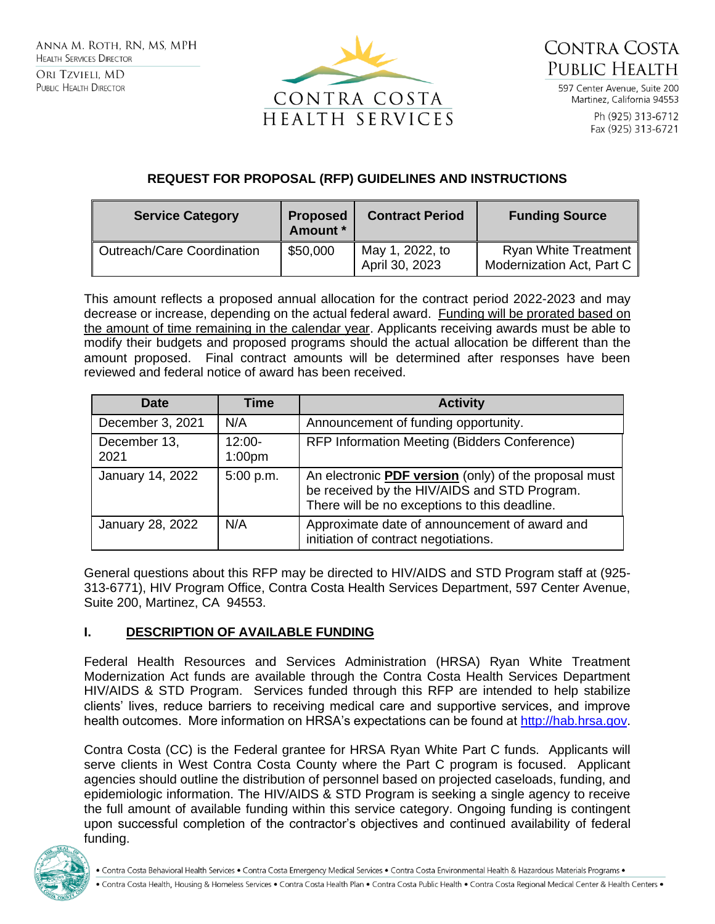



597 Center Avenue Suite 200 Martinez, California 94553

> Ph (925) 313-6712 Fax (925) 313-6721

# **REQUEST FOR PROPOSAL (RFP) GUIDELINES AND INSTRUCTIONS**

| <b>Service Category</b>           | <b>Proposed</b><br>Amount * | <b>Contract Period</b>            | <b>Funding Source</b>                                    |  |  |
|-----------------------------------|-----------------------------|-----------------------------------|----------------------------------------------------------|--|--|
| <b>Outreach/Care Coordination</b> | \$50,000                    | May 1, 2022, to<br>April 30, 2023 | <b>Ryan White Treatment</b><br>Modernization Act, Part C |  |  |

This amount reflects a proposed annual allocation for the contract period 2022-2023 and may decrease or increase, depending on the actual federal award. Funding will be prorated based on the amount of time remaining in the calendar year. Applicants receiving awards must be able to modify their budgets and proposed programs should the actual allocation be different than the amount proposed. Final contract amounts will be determined after responses have been reviewed and federal notice of award has been received.

| <b>Date</b>          | <b>Time</b>                    | <b>Activity</b>                                                                                                                                        |
|----------------------|--------------------------------|--------------------------------------------------------------------------------------------------------------------------------------------------------|
| December 3, 2021     | N/A                            | Announcement of funding opportunity.                                                                                                                   |
| December 13,<br>2021 | $12:00-$<br>1:00 <sub>pm</sub> | RFP Information Meeting (Bidders Conference)                                                                                                           |
| January 14, 2022     | 5:00 p.m.                      | An electronic PDF version (only) of the proposal must<br>be received by the HIV/AIDS and STD Program.<br>There will be no exceptions to this deadline. |
| January 28, 2022     | N/A                            | Approximate date of announcement of award and<br>initiation of contract negotiations.                                                                  |

General questions about this RFP may be directed to HIV/AIDS and STD Program staff at (925- 313-6771), HIV Program Office, Contra Costa Health Services Department, 597 Center Avenue, Suite 200, Martinez, CA 94553.

## **I. DESCRIPTION OF AVAILABLE FUNDING**

Federal Health Resources and Services Administration (HRSA) Ryan White Treatment Modernization Act funds are available through the Contra Costa Health Services Department HIV/AIDS & STD Program. Services funded through this RFP are intended to help stabilize clients' lives, reduce barriers to receiving medical care and supportive services, and improve health outcomes. More information on HRSA's expectations can be found at [http://hab.hrsa.gov.](http://hab.hrsa.gov/)

Contra Costa (CC) is the Federal grantee for HRSA Ryan White Part C funds. Applicants will serve clients in West Contra Costa County where the Part C program is focused. Applicant agencies should outline the distribution of personnel based on projected caseloads, funding, and epidemiologic information. The HIV/AIDS & STD Program is seeking a single agency to receive the full amount of available funding within this service category. Ongoing funding is contingent upon successful completion of the contractor's objectives and continued availability of federal funding.

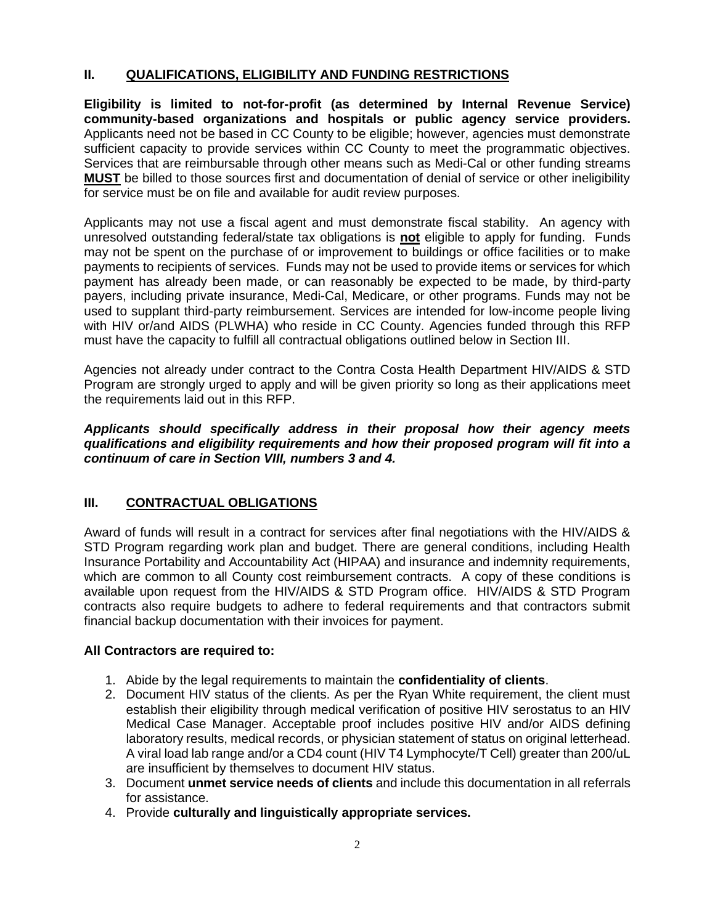### **II. QUALIFICATIONS, ELIGIBILITY AND FUNDING RESTRICTIONS**

**Eligibility is limited to not-for-profit (as determined by Internal Revenue Service) community-based organizations and hospitals or public agency service providers.**  Applicants need not be based in CC County to be eligible; however, agencies must demonstrate sufficient capacity to provide services within CC County to meet the programmatic objectives. Services that are reimbursable through other means such as Medi-Cal or other funding streams **MUST** be billed to those sources first and documentation of denial of service or other ineligibility for service must be on file and available for audit review purposes.

Applicants may not use a fiscal agent and must demonstrate fiscal stability. An agency with unresolved outstanding federal/state tax obligations is **not** eligible to apply for funding. Funds may not be spent on the purchase of or improvement to buildings or office facilities or to make payments to recipients of services. Funds may not be used to provide items or services for which payment has already been made, or can reasonably be expected to be made, by third-party payers, including private insurance, Medi-Cal, Medicare, or other programs. Funds may not be used to supplant third-party reimbursement. Services are intended for low-income people living with HIV or/and AIDS (PLWHA) who reside in CC County. Agencies funded through this RFP must have the capacity to fulfill all contractual obligations outlined below in Section III.

Agencies not already under contract to the Contra Costa Health Department HIV/AIDS & STD Program are strongly urged to apply and will be given priority so long as their applications meet the requirements laid out in this RFP.

*Applicants should specifically address in their proposal how their agency meets qualifications and eligibility requirements and how their proposed program will fit into a continuum of care in Section VIII, numbers 3 and 4.* 

## **III. CONTRACTUAL OBLIGATIONS**

Award of funds will result in a contract for services after final negotiations with the HIV/AIDS & STD Program regarding work plan and budget. There are general conditions, including Health Insurance Portability and Accountability Act (HIPAA) and insurance and indemnity requirements, which are common to all County cost reimbursement contracts. A copy of these conditions is available upon request from the HIV/AIDS & STD Program office. HIV/AIDS & STD Program contracts also require budgets to adhere to federal requirements and that contractors submit financial backup documentation with their invoices for payment.

## **All Contractors are required to:**

- 1. Abide by the legal requirements to maintain the **confidentiality of clients**.
- 2. Document HIV status of the clients. As per the Ryan White requirement, the client must establish their eligibility through medical verification of positive HIV serostatus to an HIV Medical Case Manager. Acceptable proof includes positive HIV and/or AIDS defining laboratory results, medical records, or physician statement of status on original letterhead. A viral load lab range and/or a CD4 count (HIV T4 Lymphocyte/T Cell) greater than 200/uL are insufficient by themselves to document HIV status.
- 3. Document **unmet service needs of clients** and include this documentation in all referrals for assistance.
- 4. Provide **culturally and linguistically appropriate services.**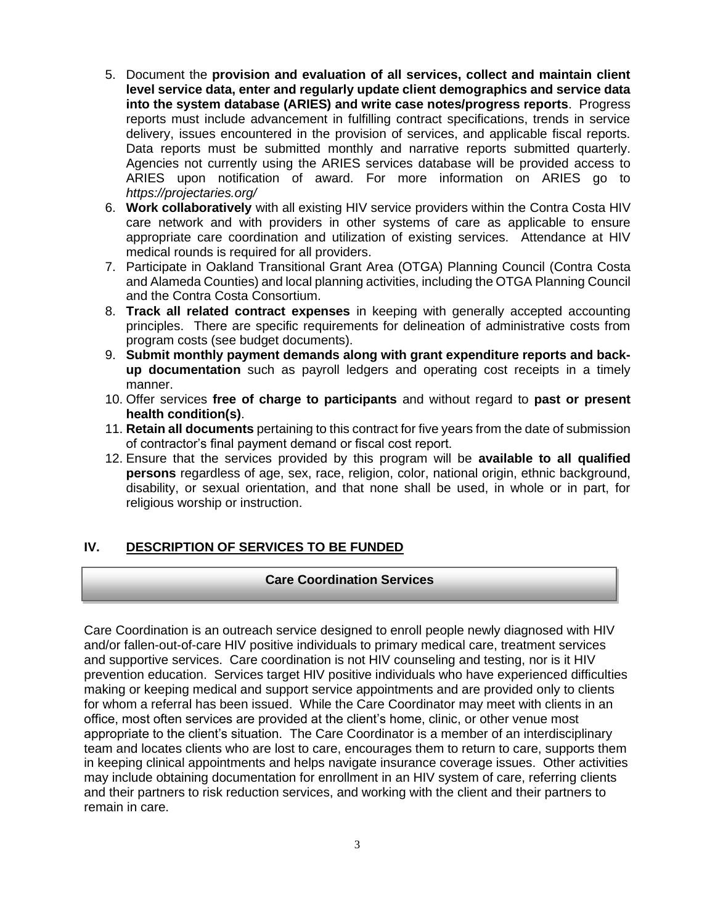- 5. Document the **provision and evaluation of all services, collect and maintain client level service data, enter and regularly update client demographics and service data into the system database (ARIES) and write case notes/progress reports**. Progress reports must include advancement in fulfilling contract specifications, trends in service delivery, issues encountered in the provision of services, and applicable fiscal reports. Data reports must be submitted monthly and narrative reports submitted quarterly. Agencies not currently using the ARIES services database will be provided access to ARIES upon notification of award. For more information on ARIES go to *https://projectaries.org/*
- 6. **Work collaboratively** with all existing HIV service providers within the Contra Costa HIV care network and with providers in other systems of care as applicable to ensure appropriate care coordination and utilization of existing services. Attendance at HIV medical rounds is required for all providers.
- 7. Participate in Oakland Transitional Grant Area (OTGA) Planning Council (Contra Costa and Alameda Counties) and local planning activities, including the OTGA Planning Council and the Contra Costa Consortium.
- 8. **Track all related contract expenses** in keeping with generally accepted accounting principles. There are specific requirements for delineation of administrative costs from program costs (see budget documents).
- 9. **Submit monthly payment demands along with grant expenditure reports and backup documentation** such as payroll ledgers and operating cost receipts in a timely manner.
- 10. Offer services **free of charge to participants** and without regard to **past or present health condition(s)**.
- 11. **Retain all documents** pertaining to this contract for five years from the date of submission of contractor's final payment demand or fiscal cost report.
- 12. Ensure that the services provided by this program will be **available to all qualified persons** regardless of age, sex, race, religion, color, national origin, ethnic background, disability, or sexual orientation, and that none shall be used, in whole or in part, for religious worship or instruction.

## **IV. DESCRIPTION OF SERVICES TO BE FUNDED**

#### **Care Coordination Services**

Care Coordination is an outreach service designed to enroll people newly diagnosed with HIV and/or fallen-out-of-care HIV positive individuals to primary medical care, treatment services and supportive services. Care coordination is not HIV counseling and testing, nor is it HIV prevention education. Services target HIV positive individuals who have experienced difficulties making or keeping medical and support service appointments and are provided only to clients for whom a referral has been issued. While the Care Coordinator may meet with clients in an office, most often services are provided at the client's home, clinic, or other venue most appropriate to the client's situation. The Care Coordinator is a member of an interdisciplinary team and locates clients who are lost to care, encourages them to return to care, supports them in keeping clinical appointments and helps navigate insurance coverage issues. Other activities may include obtaining documentation for enrollment in an HIV system of care, referring clients and their partners to risk reduction services, and working with the client and their partners to remain in care.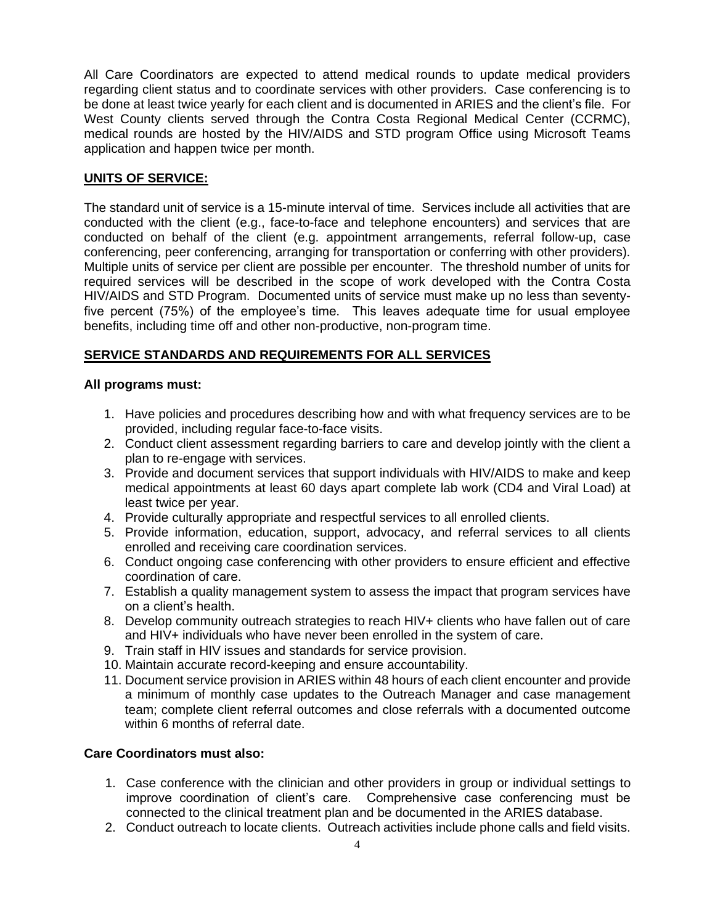All Care Coordinators are expected to attend medical rounds to update medical providers regarding client status and to coordinate services with other providers. Case conferencing is to be done at least twice yearly for each client and is documented in ARIES and the client's file. For West County clients served through the Contra Costa Regional Medical Center (CCRMC), medical rounds are hosted by the HIV/AIDS and STD program Office using Microsoft Teams application and happen twice per month.

## **UNITS OF SERVICE:**

The standard unit of service is a 15-minute interval of time. Services include all activities that are conducted with the client (e.g., face-to-face and telephone encounters) and services that are conducted on behalf of the client (e.g. appointment arrangements, referral follow-up, case conferencing, peer conferencing, arranging for transportation or conferring with other providers). Multiple units of service per client are possible per encounter. The threshold number of units for required services will be described in the scope of work developed with the Contra Costa HIV/AIDS and STD Program. Documented units of service must make up no less than seventyfive percent (75%) of the employee's time. This leaves adequate time for usual employee benefits, including time off and other non-productive, non-program time.

## **SERVICE STANDARDS AND REQUIREMENTS FOR ALL SERVICES**

### **All programs must:**

- 1. Have policies and procedures describing how and with what frequency services are to be provided, including regular face-to-face visits.
- 2. Conduct client assessment regarding barriers to care and develop jointly with the client a plan to re-engage with services.
- 3. Provide and document services that support individuals with HIV/AIDS to make and keep medical appointments at least 60 days apart complete lab work (CD4 and Viral Load) at least twice per year.
- 4. Provide culturally appropriate and respectful services to all enrolled clients.
- 5. Provide information, education, support, advocacy, and referral services to all clients enrolled and receiving care coordination services.
- 6. Conduct ongoing case conferencing with other providers to ensure efficient and effective coordination of care.
- 7. Establish a quality management system to assess the impact that program services have on a client's health.
- 8. Develop community outreach strategies to reach HIV+ clients who have fallen out of care and HIV+ individuals who have never been enrolled in the system of care.
- 9. Train staff in HIV issues and standards for service provision.
- 10. Maintain accurate record-keeping and ensure accountability.
- 11. Document service provision in ARIES within 48 hours of each client encounter and provide a minimum of monthly case updates to the Outreach Manager and case management team; complete client referral outcomes and close referrals with a documented outcome within 6 months of referral date.

## **Care Coordinators must also:**

- 1. Case conference with the clinician and other providers in group or individual settings to improve coordination of client's care. Comprehensive case conferencing must be connected to the clinical treatment plan and be documented in the ARIES database.
- 2. Conduct outreach to locate clients. Outreach activities include phone calls and field visits.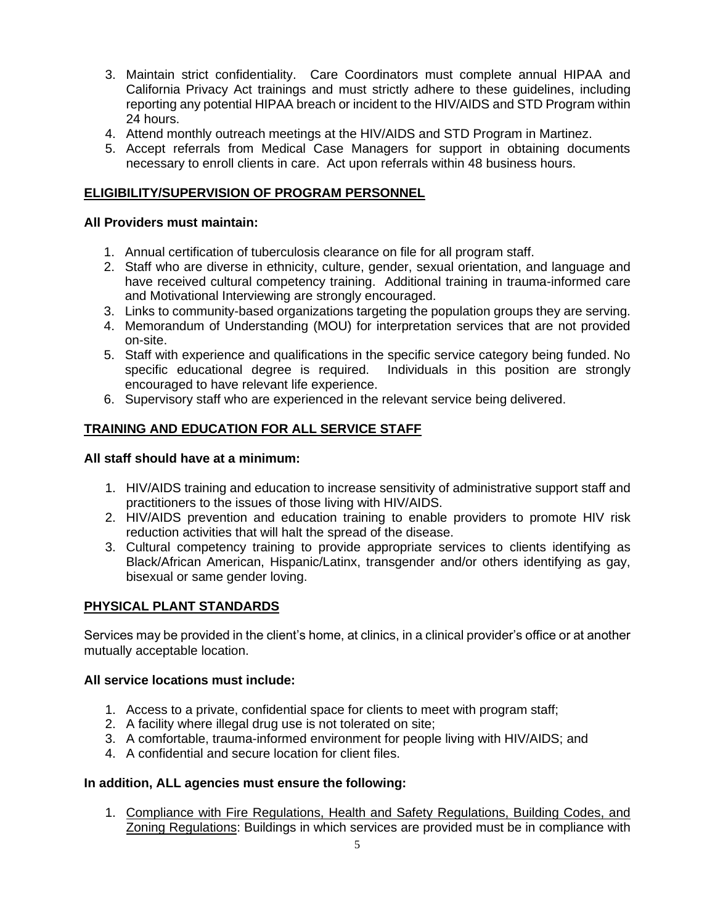- 3. Maintain strict confidentiality. Care Coordinators must complete annual HIPAA and California Privacy Act trainings and must strictly adhere to these guidelines, including reporting any potential HIPAA breach or incident to the HIV/AIDS and STD Program within 24 hours.
- 4. Attend monthly outreach meetings at the HIV/AIDS and STD Program in Martinez.
- 5. Accept referrals from Medical Case Managers for support in obtaining documents necessary to enroll clients in care. Act upon referrals within 48 business hours.

## **ELIGIBILITY/SUPERVISION OF PROGRAM PERSONNEL**

#### **All Providers must maintain:**

- 1. Annual certification of tuberculosis clearance on file for all program staff.
- 2. Staff who are diverse in ethnicity, culture, gender, sexual orientation, and language and have received cultural competency training. Additional training in trauma-informed care and Motivational Interviewing are strongly encouraged.
- 3. Links to community-based organizations targeting the population groups they are serving.
- 4. Memorandum of Understanding (MOU) for interpretation services that are not provided on-site.
- 5. Staff with experience and qualifications in the specific service category being funded. No specific educational degree is required. Individuals in this position are strongly encouraged to have relevant life experience.
- 6. Supervisory staff who are experienced in the relevant service being delivered.

## **TRAINING AND EDUCATION FOR ALL SERVICE STAFF**

## **All staff should have at a minimum:**

- 1. HIV/AIDS training and education to increase sensitivity of administrative support staff and practitioners to the issues of those living with HIV/AIDS.
- 2. HIV/AIDS prevention and education training to enable providers to promote HIV risk reduction activities that will halt the spread of the disease.
- 3. Cultural competency training to provide appropriate services to clients identifying as Black/African American, Hispanic/Latinx, transgender and/or others identifying as gay, bisexual or same gender loving.

## **PHYSICAL PLANT STANDARDS**

Services may be provided in the client's home, at clinics, in a clinical provider's office or at another mutually acceptable location.

#### **All service locations must include:**

- 1. Access to a private, confidential space for clients to meet with program staff;
- 2. A facility where illegal drug use is not tolerated on site;
- 3. A comfortable, trauma-informed environment for people living with HIV/AIDS; and
- 4. A confidential and secure location for client files.

#### **In addition, ALL agencies must ensure the following:**

1. Compliance with Fire Regulations, Health and Safety Regulations, Building Codes, and Zoning Regulations: Buildings in which services are provided must be in compliance with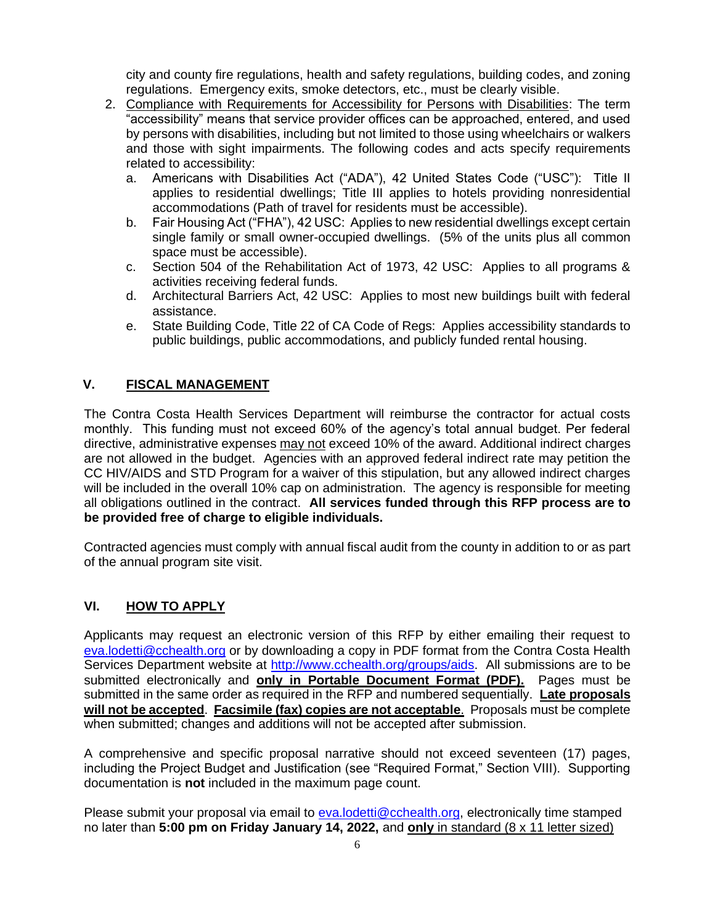city and county fire regulations, health and safety regulations, building codes, and zoning regulations. Emergency exits, smoke detectors, etc., must be clearly visible.

- 2. Compliance with Requirements for Accessibility for Persons with Disabilities: The term "accessibility" means that service provider offices can be approached, entered, and used by persons with disabilities, including but not limited to those using wheelchairs or walkers and those with sight impairments. The following codes and acts specify requirements related to accessibility:
	- a. Americans with Disabilities Act ("ADA"), 42 United States Code ("USC"): Title II applies to residential dwellings; Title III applies to hotels providing nonresidential accommodations (Path of travel for residents must be accessible).
	- b. Fair Housing Act ("FHA"), 42 USC: Applies to new residential dwellings except certain single family or small owner-occupied dwellings. (5% of the units plus all common space must be accessible).
	- c. Section 504 of the Rehabilitation Act of 1973, 42 USC: Applies to all programs & activities receiving federal funds.
	- d. Architectural Barriers Act, 42 USC: Applies to most new buildings built with federal assistance.
	- e. State Building Code, Title 22 of CA Code of Regs: Applies accessibility standards to public buildings, public accommodations, and publicly funded rental housing.

## **V. FISCAL MANAGEMENT**

The Contra Costa Health Services Department will reimburse the contractor for actual costs monthly. This funding must not exceed 60% of the agency's total annual budget. Per federal directive, administrative expenses may not exceed 10% of the award. Additional indirect charges are not allowed in the budget. Agencies with an approved federal indirect rate may petition the CC HIV/AIDS and STD Program for a waiver of this stipulation, but any allowed indirect charges will be included in the overall 10% cap on administration. The agency is responsible for meeting all obligations outlined in the contract. **All services funded through this RFP process are to be provided free of charge to eligible individuals.**

Contracted agencies must comply with annual fiscal audit from the county in addition to or as part of the annual program site visit.

## **VI. HOW TO APPLY**

Applicants may request an electronic version of this RFP by either emailing their request to [eva.lodetti@cchealth.org](mailto:eva.lodetti@cchealth.org) or by downloading a copy in PDF format from the Contra Costa Health Services Department website at [http://www.cchealth.org/groups/aids.](http://www.cchealth.org/groups/aids) All submissions are to be submitted electronically and **only in Portable Document Format (PDF).** Pages must be submitted in the same order as required in the RFP and numbered sequentially. **Late proposals will not be accepted**. **Facsimile (fax) copies are not acceptable**. Proposals must be complete when submitted; changes and additions will not be accepted after submission.

A comprehensive and specific proposal narrative should not exceed seventeen (17) pages, including the Project Budget and Justification (see "Required Format," Section VIII). Supporting documentation is **not** included in the maximum page count.

Please submit your proposal via email to [eva.lodetti@cchealth.org,](mailto:) electronically time stamped no later than **5:00 pm on Friday January 14, 2022,** and **only** in standard (8 x 11 letter sized)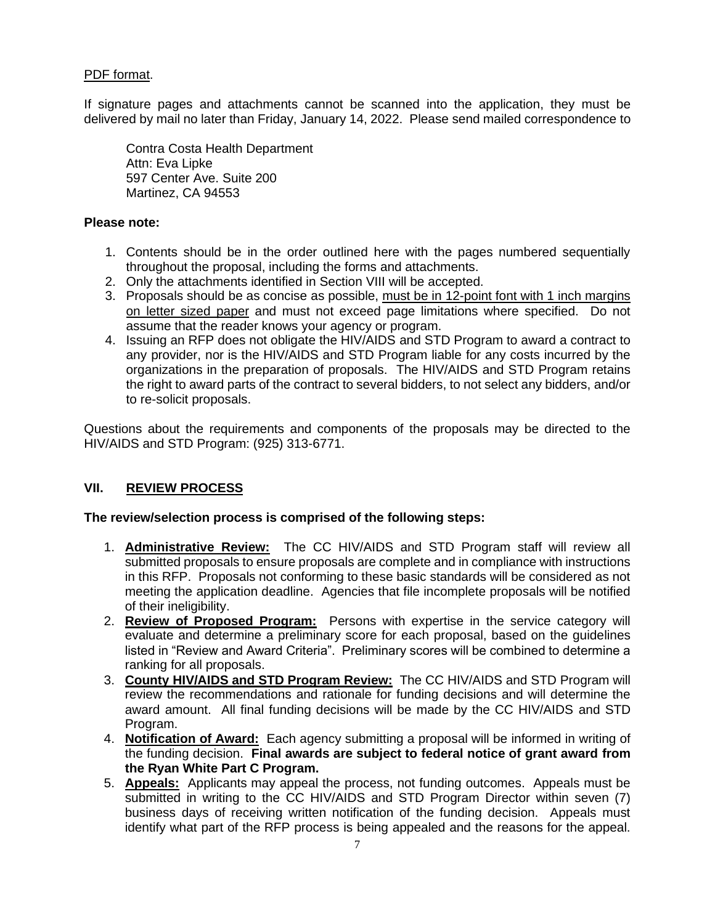#### PDF format.

If signature pages and attachments cannot be scanned into the application, they must be delivered by mail no later than Friday, January 14, 2022. Please send mailed correspondence to

Contra Costa Health Department Attn: Eva Lipke 597 Center Ave. Suite 200 Martinez, CA 94553

#### **Please note:**

- 1. Contents should be in the order outlined here with the pages numbered sequentially throughout the proposal, including the forms and attachments.
- 2. Only the attachments identified in Section VIII will be accepted.
- 3. Proposals should be as concise as possible, must be in 12-point font with 1 inch margins on letter sized paper and must not exceed page limitations where specified. Do not assume that the reader knows your agency or program.
- 4. Issuing an RFP does not obligate the HIV/AIDS and STD Program to award a contract to any provider, nor is the HIV/AIDS and STD Program liable for any costs incurred by the organizations in the preparation of proposals. The HIV/AIDS and STD Program retains the right to award parts of the contract to several bidders, to not select any bidders, and/or to re-solicit proposals.

Questions about the requirements and components of the proposals may be directed to the HIV/AIDS and STD Program: (925) 313-6771.

### **VII. REVIEW PROCESS**

#### **The review/selection process is comprised of the following steps:**

- 1. **Administrative Review:** The CC HIV/AIDS and STD Program staff will review all submitted proposals to ensure proposals are complete and in compliance with instructions in this RFP. Proposals not conforming to these basic standards will be considered as not meeting the application deadline. Agencies that file incomplete proposals will be notified of their ineligibility.
- 2. **Review of Proposed Program:** Persons with expertise in the service category will evaluate and determine a preliminary score for each proposal, based on the guidelines listed in "Review and Award Criteria". Preliminary scores will be combined to determine a ranking for all proposals.
- 3. **County HIV/AIDS and STD Program Review:** The CC HIV/AIDS and STD Program will review the recommendations and rationale for funding decisions and will determine the award amount. All final funding decisions will be made by the CC HIV/AIDS and STD Program.
- 4. **Notification of Award:** Each agency submitting a proposal will be informed in writing of the funding decision. **Final awards are subject to federal notice of grant award from the Ryan White Part C Program.**
- 5. **Appeals:** Applicants may appeal the process, not funding outcomes. Appeals must be submitted in writing to the CC HIV/AIDS and STD Program Director within seven (7) business days of receiving written notification of the funding decision. Appeals must identify what part of the RFP process is being appealed and the reasons for the appeal.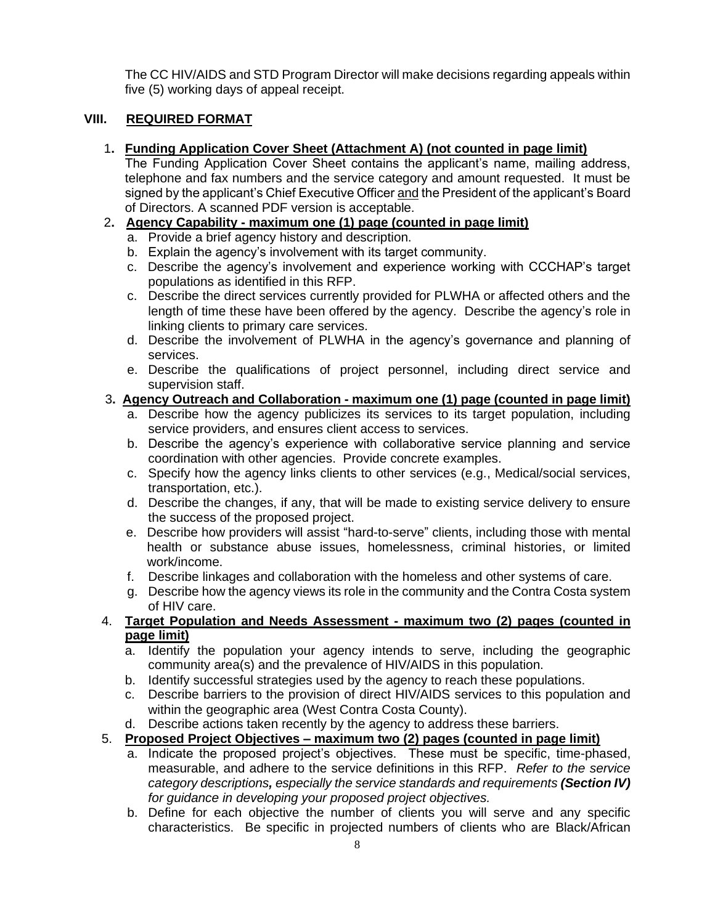The CC HIV/AIDS and STD Program Director will make decisions regarding appeals within five (5) working days of appeal receipt.

## **VIII. REQUIRED FORMAT**

## 1**. Funding Application Cover Sheet (Attachment A) (not counted in page limit)**

The Funding Application Cover Sheet contains the applicant's name, mailing address, telephone and fax numbers and the service category and amount requested. It must be signed by the applicant's Chief Executive Officer and the President of the applicant's Board of Directors. A scanned PDF version is acceptable.

## 2**. Agency Capability - maximum one (1) page (counted in page limit)**

- a. Provide a brief agency history and description.
- b. Explain the agency's involvement with its target community.
- c. Describe the agency's involvement and experience working with CCCHAP's target populations as identified in this RFP.
- c. Describe the direct services currently provided for PLWHA or affected others and the length of time these have been offered by the agency. Describe the agency's role in linking clients to primary care services.
- d. Describe the involvement of PLWHA in the agency's governance and planning of services.
- e. Describe the qualifications of project personnel, including direct service and supervision staff.

## 3**. Agency Outreach and Collaboration - maximum one (1) page (counted in page limit)**

- a. Describe how the agency publicizes its services to its target population, including service providers, and ensures client access to services.
- b. Describe the agency's experience with collaborative service planning and service coordination with other agencies. Provide concrete examples.
- c. Specify how the agency links clients to other services (e.g., Medical/social services, transportation, etc.).
- d. Describe the changes, if any, that will be made to existing service delivery to ensure the success of the proposed project.
- e. Describe how providers will assist "hard-to-serve" clients, including those with mental health or substance abuse issues, homelessness, criminal histories, or limited work/income.
- f. Describe linkages and collaboration with the homeless and other systems of care.
- g. Describe how the agency views its role in the community and the Contra Costa system of HIV care.
- 4. **Target Population and Needs Assessment - maximum two (2) pages (counted in page limit)**
	- a. Identify the population your agency intends to serve, including the geographic community area(s) and the prevalence of HIV/AIDS in this population.
	- b. Identify successful strategies used by the agency to reach these populations.
	- c. Describe barriers to the provision of direct HIV/AIDS services to this population and within the geographic area (West Contra Costa County).
	- d. Describe actions taken recently by the agency to address these barriers.

# 5. **Proposed Project Objectives – maximum two (2) pages (counted in page limit)**

- a. Indicate the proposed project's objectives. These must be specific, time-phased, measurable, and adhere to the service definitions in this RFP. *Refer to the service category descriptions, especially the service standards and requirements (Section IV) for guidance in developing your proposed project objectives.*
- b. Define for each objective the number of clients you will serve and any specific characteristics. Be specific in projected numbers of clients who are Black/African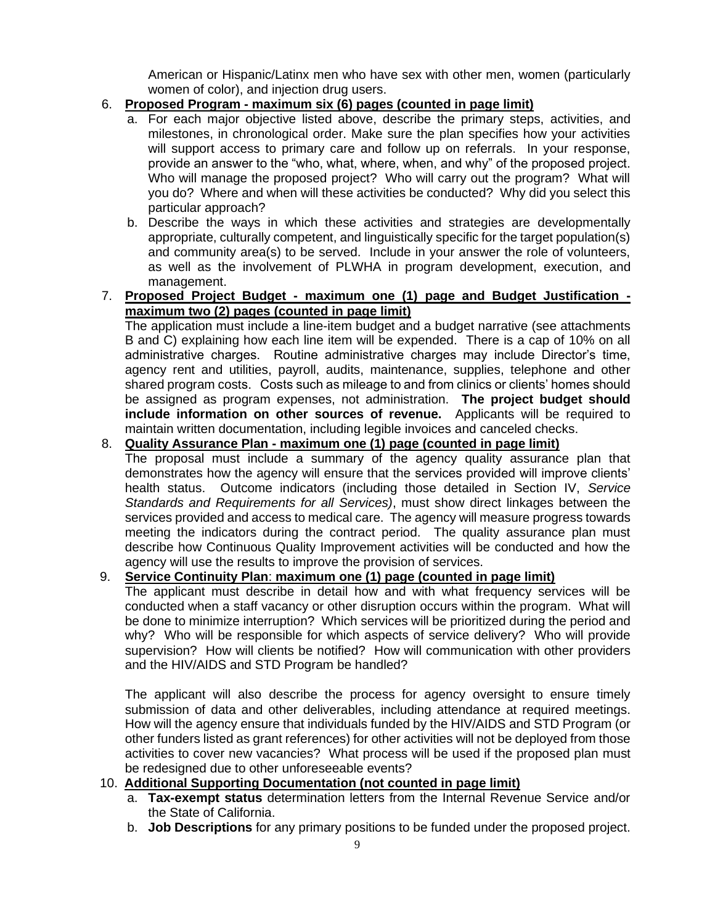American or Hispanic/Latinx men who have sex with other men, women (particularly women of color), and injection drug users.

## 6. **Proposed Program - maximum six (6) pages (counted in page limit)**

- a. For each major objective listed above, describe the primary steps, activities, and milestones, in chronological order. Make sure the plan specifies how your activities will support access to primary care and follow up on referrals. In your response, provide an answer to the "who, what, where, when, and why" of the proposed project. Who will manage the proposed project? Who will carry out the program? What will you do? Where and when will these activities be conducted? Why did you select this particular approach?
- b. Describe the ways in which these activities and strategies are developmentally appropriate, culturally competent, and linguistically specific for the target population(s) and community area(s) to be served. Include in your answer the role of volunteers, as well as the involvement of PLWHA in program development, execution, and management.

### 7. **Proposed Project Budget - maximum one (1) page and Budget Justification maximum two (2) pages (counted in page limit)**

The application must include a line-item budget and a budget narrative (see attachments B and C) explaining how each line item will be expended. There is a cap of 10% on all administrative charges. Routine administrative charges may include Director's time, agency rent and utilities, payroll, audits, maintenance, supplies, telephone and other shared program costs. Costs such as mileage to and from clinics or clients' homes should be assigned as program expenses, not administration. **The project budget should include information on other sources of revenue.** Applicants will be required to maintain written documentation, including legible invoices and canceled checks.

### 8. **Quality Assurance Plan - maximum one (1) page (counted in page limit)**

The proposal must include a summary of the agency quality assurance plan that demonstrates how the agency will ensure that the services provided will improve clients' health status. Outcome indicators (including those detailed in Section IV, *Service Standards and Requirements for all Services)*, must show direct linkages between the services provided and access to medical care. The agency will measure progress towards meeting the indicators during the contract period. The quality assurance plan must describe how Continuous Quality Improvement activities will be conducted and how the agency will use the results to improve the provision of services.

## 9. **Service Continuity Plan**: **maximum one (1) page (counted in page limit)**

The applicant must describe in detail how and with what frequency services will be conducted when a staff vacancy or other disruption occurs within the program. What will be done to minimize interruption? Which services will be prioritized during the period and why? Who will be responsible for which aspects of service delivery? Who will provide supervision? How will clients be notified? How will communication with other providers and the HIV/AIDS and STD Program be handled?

The applicant will also describe the process for agency oversight to ensure timely submission of data and other deliverables, including attendance at required meetings. How will the agency ensure that individuals funded by the HIV/AIDS and STD Program (or other funders listed as grant references) for other activities will not be deployed from those activities to cover new vacancies? What process will be used if the proposed plan must be redesigned due to other unforeseeable events?

## 10. **Additional Supporting Documentation (not counted in page limit)**

- a. **Tax-exempt status** determination letters from the Internal Revenue Service and/or the State of California.
- b. **Job Descriptions** for any primary positions to be funded under the proposed project.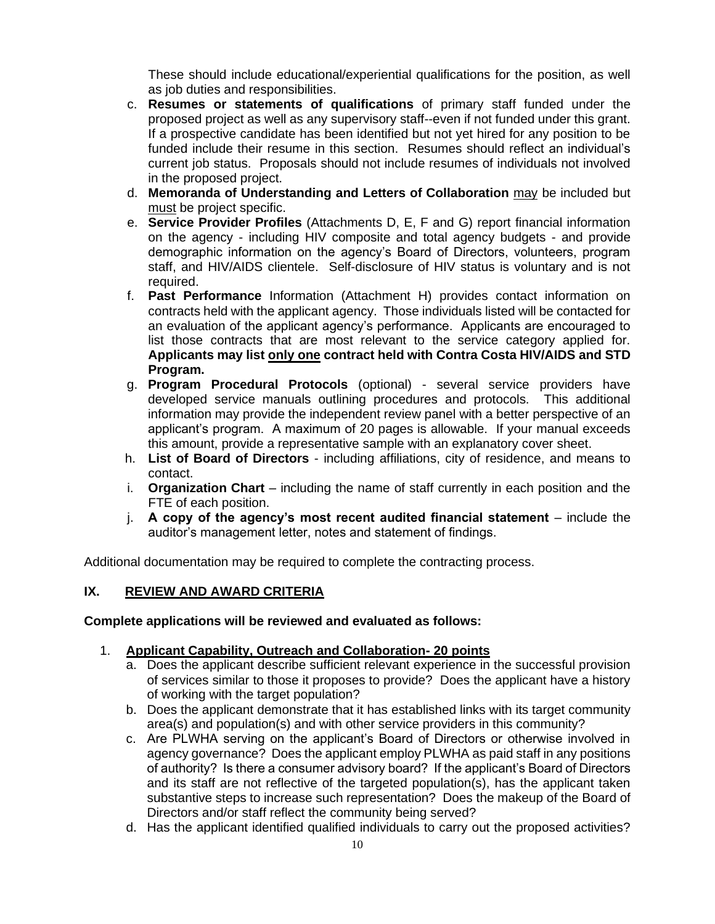These should include educational/experiential qualifications for the position, as well as job duties and responsibilities.

- c. **Resumes or statements of qualifications** of primary staff funded under the proposed project as well as any supervisory staff--even if not funded under this grant. If a prospective candidate has been identified but not yet hired for any position to be funded include their resume in this section. Resumes should reflect an individual's current job status. Proposals should not include resumes of individuals not involved in the proposed project.
- d. **Memoranda of Understanding and Letters of Collaboration** may be included but must be project specific.
- e. **Service Provider Profiles** (Attachments D, E, F and G) report financial information on the agency - including HIV composite and total agency budgets - and provide demographic information on the agency's Board of Directors, volunteers, program staff, and HIV/AIDS clientele. Self-disclosure of HIV status is voluntary and is not required.
- f. **Past Performance** Information (Attachment H) provides contact information on contracts held with the applicant agency. Those individuals listed will be contacted for an evaluation of the applicant agency's performance. Applicants are encouraged to list those contracts that are most relevant to the service category applied for. **Applicants may list only one contract held with Contra Costa HIV/AIDS and STD Program.**
- g. **Program Procedural Protocols** (optional) several service providers have developed service manuals outlining procedures and protocols. This additional information may provide the independent review panel with a better perspective of an applicant's program. A maximum of 20 pages is allowable. If your manual exceeds this amount, provide a representative sample with an explanatory cover sheet.
- h. **List of Board of Directors** including affiliations, city of residence, and means to contact.
- i. **Organization Chart** including the name of staff currently in each position and the FTE of each position.
- j. **A copy of the agency's most recent audited financial statement**  include the auditor's management letter, notes and statement of findings.

Additional documentation may be required to complete the contracting process.

## **IX. REVIEW AND AWARD CRITERIA**

#### **Complete applications will be reviewed and evaluated as follows:**

#### 1. **Applicant Capability, Outreach and Collaboration- 20 points**

- a. Does the applicant describe sufficient relevant experience in the successful provision of services similar to those it proposes to provide? Does the applicant have a history of working with the target population?
- b. Does the applicant demonstrate that it has established links with its target community area(s) and population(s) and with other service providers in this community?
- c. Are PLWHA serving on the applicant's Board of Directors or otherwise involved in agency governance? Does the applicant employ PLWHA as paid staff in any positions of authority? Is there a consumer advisory board? If the applicant's Board of Directors and its staff are not reflective of the targeted population(s), has the applicant taken substantive steps to increase such representation? Does the makeup of the Board of Directors and/or staff reflect the community being served?
- d. Has the applicant identified qualified individuals to carry out the proposed activities?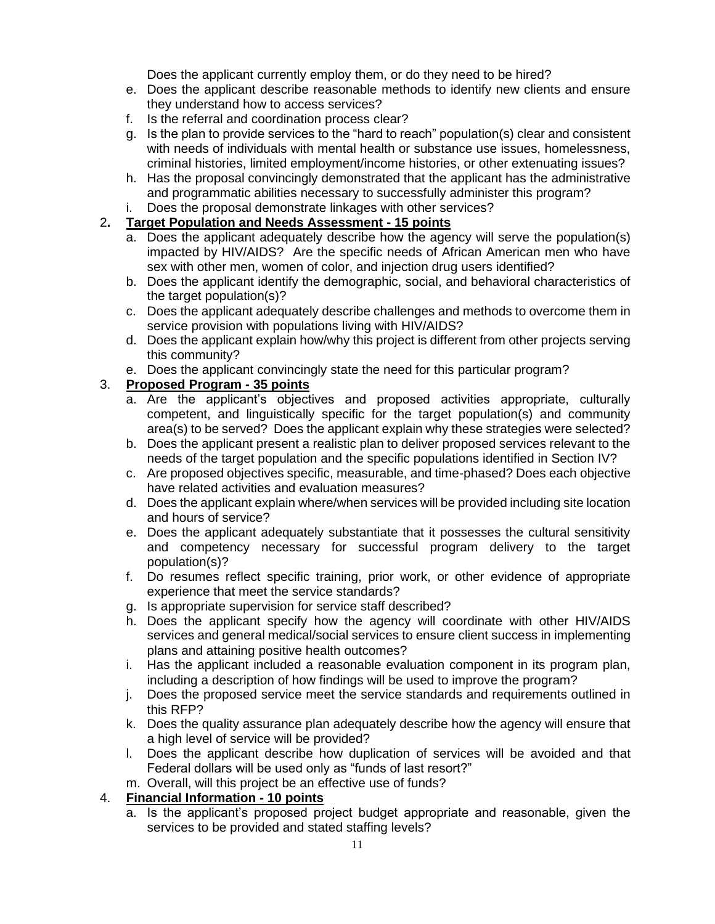Does the applicant currently employ them, or do they need to be hired?

- e. Does the applicant describe reasonable methods to identify new clients and ensure they understand how to access services?
- f. Is the referral and coordination process clear?
- g. Is the plan to provide services to the "hard to reach" population(s) clear and consistent with needs of individuals with mental health or substance use issues, homelessness, criminal histories, limited employment/income histories, or other extenuating issues?
- h. Has the proposal convincingly demonstrated that the applicant has the administrative and programmatic abilities necessary to successfully administer this program?
- i. Does the proposal demonstrate linkages with other services?

## 2**. Target Population and Needs Assessment - 15 points**

- a. Does the applicant adequately describe how the agency will serve the population(s) impacted by HIV/AIDS? Are the specific needs of African American men who have sex with other men, women of color, and injection drug users identified?
- b. Does the applicant identify the demographic, social, and behavioral characteristics of the target population(s)?
- c. Does the applicant adequately describe challenges and methods to overcome them in service provision with populations living with HIV/AIDS?
- d. Does the applicant explain how/why this project is different from other projects serving this community?
- e. Does the applicant convincingly state the need for this particular program?

## 3. **Proposed Program - 35 points**

- a. Are the applicant's objectives and proposed activities appropriate, culturally competent, and linguistically specific for the target population(s) and community area(s) to be served? Does the applicant explain why these strategies were selected?
- b. Does the applicant present a realistic plan to deliver proposed services relevant to the needs of the target population and the specific populations identified in Section IV?
- c. Are proposed objectives specific, measurable, and time-phased? Does each objective have related activities and evaluation measures?
- d. Does the applicant explain where/when services will be provided including site location and hours of service?
- e. Does the applicant adequately substantiate that it possesses the cultural sensitivity and competency necessary for successful program delivery to the target population(s)?
- f. Do resumes reflect specific training, prior work, or other evidence of appropriate experience that meet the service standards?
- g. Is appropriate supervision for service staff described?
- h. Does the applicant specify how the agency will coordinate with other HIV/AIDS services and general medical/social services to ensure client success in implementing plans and attaining positive health outcomes?
- i. Has the applicant included a reasonable evaluation component in its program plan, including a description of how findings will be used to improve the program?
- j. Does the proposed service meet the service standards and requirements outlined in this RFP?
- k. Does the quality assurance plan adequately describe how the agency will ensure that a high level of service will be provided?
- l. Does the applicant describe how duplication of services will be avoided and that Federal dollars will be used only as "funds of last resort?"
- m. Overall, will this project be an effective use of funds?

## 4. **Financial Information - 10 points**

a. Is the applicant's proposed project budget appropriate and reasonable, given the services to be provided and stated staffing levels?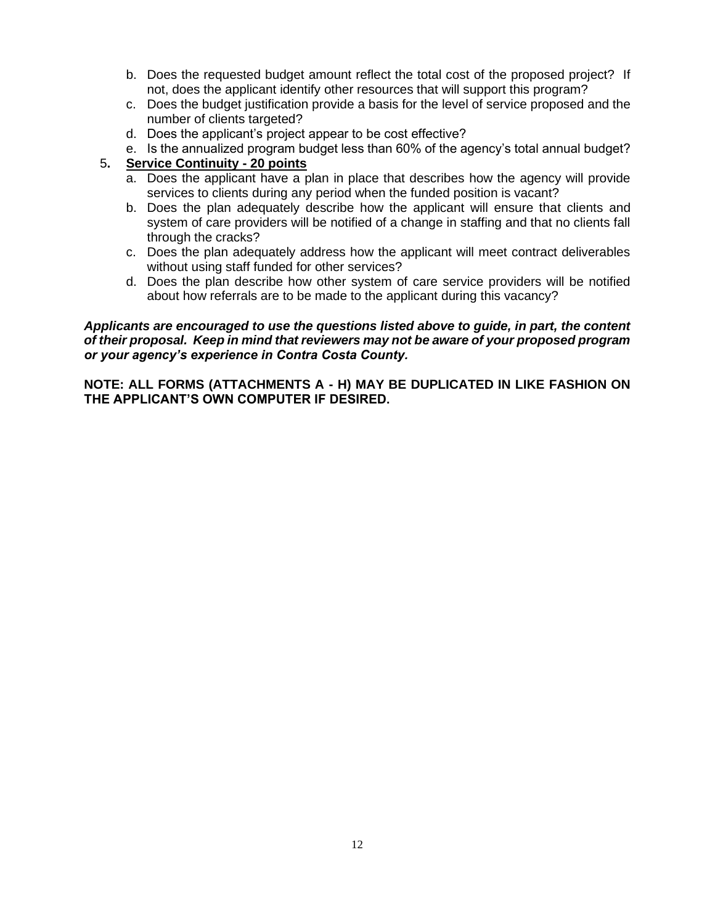- b. Does the requested budget amount reflect the total cost of the proposed project? If not, does the applicant identify other resources that will support this program?
- c. Does the budget justification provide a basis for the level of service proposed and the number of clients targeted?
- d. Does the applicant's project appear to be cost effective?
- e. Is the annualized program budget less than 60% of the agency's total annual budget?

## 5**. Service Continuity - 20 points**

- a. Does the applicant have a plan in place that describes how the agency will provide services to clients during any period when the funded position is vacant?
- b. Does the plan adequately describe how the applicant will ensure that clients and system of care providers will be notified of a change in staffing and that no clients fall through the cracks?
- c. Does the plan adequately address how the applicant will meet contract deliverables without using staff funded for other services?
- d. Does the plan describe how other system of care service providers will be notified about how referrals are to be made to the applicant during this vacancy?

#### *Applicants are encouraged to use the questions listed above to guide, in part, the content of their proposal. Keep in mind that reviewers may not be aware of your proposed program or your agency's experience in Contra Costa County.*

**NOTE: ALL FORMS (ATTACHMENTS A - H) MAY BE DUPLICATED IN LIKE FASHION ON THE APPLICANT'S OWN COMPUTER IF DESIRED.**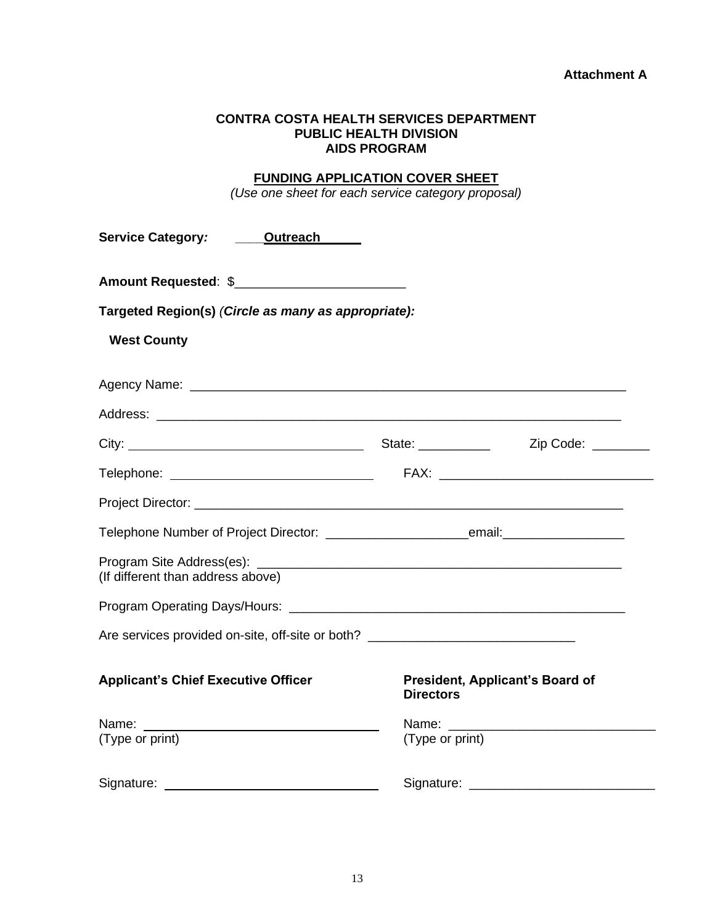### **Attachment A**

#### **CONTRA COSTA HEALTH SERVICES DEPARTMENT PUBLIC HEALTH DIVISION AIDS PROGRAM**

# **FUNDING APPLICATION COVER SHEET**

*(Use one sheet for each service category proposal)*

| Service Category: ______ Outreach                                                                                                                                                                                              |                      |                                 |
|--------------------------------------------------------------------------------------------------------------------------------------------------------------------------------------------------------------------------------|----------------------|---------------------------------|
| Amount Requested: \$                                                                                                                                                                                                           |                      |                                 |
| Targeted Region(s) (Circle as many as appropriate):                                                                                                                                                                            |                      |                                 |
| <b>West County</b>                                                                                                                                                                                                             |                      |                                 |
| Agency Name: Department of the Contract of the Contract of the Contract of the Contract of the Contract of the Contract of the Contract of the Contract of the Contract of the Contract of the Contract of the Contract of the |                      |                                 |
|                                                                                                                                                                                                                                |                      |                                 |
|                                                                                                                                                                                                                                | State: _____________ | Zip Code: ________              |
|                                                                                                                                                                                                                                |                      |                                 |
|                                                                                                                                                                                                                                |                      |                                 |
|                                                                                                                                                                                                                                |                      |                                 |
| (If different than address above)                                                                                                                                                                                              |                      |                                 |
|                                                                                                                                                                                                                                |                      |                                 |
| Are services provided on-site, off-site or both? _______________________________                                                                                                                                               |                      |                                 |
| <b>Applicant's Chief Executive Officer</b>                                                                                                                                                                                     | <b>Directors</b>     | President, Applicant's Board of |
|                                                                                                                                                                                                                                |                      |                                 |
| (Type or print)                                                                                                                                                                                                                | (Type or print)      |                                 |
| Signature:                                                                                                                                                                                                                     | Signature:           |                                 |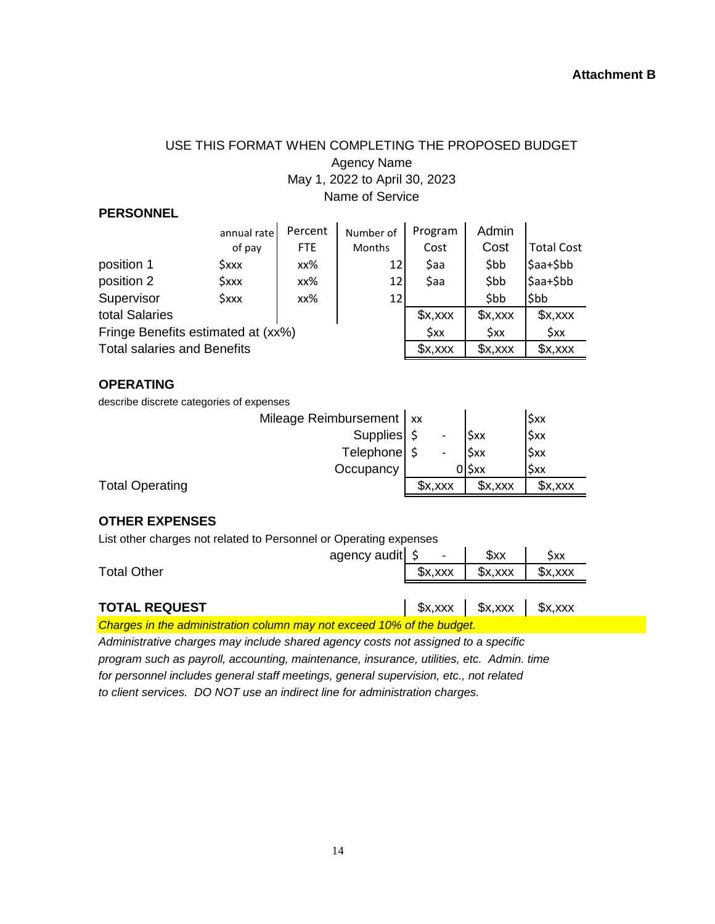# USE THIS FORMAT WHEN COMPLETING THE PROPOSED BUDGET Agency Name May 1, 2022 to April 30, 2023 Name of Service

## **PERSONNEL**

|                                    | annual rate       | Percent | Number of     | Program | Admin |                   |
|------------------------------------|-------------------|---------|---------------|---------|-------|-------------------|
|                                    | of pay            | FTE.    | <b>Months</b> | Cost    | Cost  | <b>Total Cost</b> |
| position 1                         | <b>\$xxx</b>      | xx%     | 12 I          | \$aa    | \$bb  | \$aa+\$bb         |
| position 2                         | $\frac{2}{3}$ xxx | xx%     | 12            | \$aa    | \$bb  | \$aa+\$bb         |
| Supervisor                         | \$xxx             | xx%     | 12            |         | \$bb  | \$bb              |
| total Salaries                     |                   |         |               | x, xx   | x, xx | x,xxx             |
| Fringe Benefits estimated at (xx%) |                   | \$xx    | Sxx           | \$xx    |       |                   |
| <b>Total salaries and Benefits</b> |                   | x, xx   | x, xx         | x, xx   |       |                   |

### **OPERATING**

describe discrete categories of expenses

|                        | Mileage Reimbursement   xx |                          |            | \$xx  |
|------------------------|----------------------------|--------------------------|------------|-------|
|                        | Supplies \$                | $\overline{\phantom{a}}$ | <b>Sxx</b> | \$xx  |
|                        | Telephone \$               | $\overline{\phantom{a}}$ | <b>Sxx</b> | Sxx   |
|                        | Occupancy                  |                          | 0ISxx      | Sxx   |
| <b>Total Operating</b> |                            | x, xx                    | x, xx      | x, xx |
|                        |                            |                          |            |       |

## **OTHER EXPENSES**

List other charges not related to Personnel or Operating expenses

L.

| agency audit $\frac{1}{2}$ -                                           |       | sxx                                    | \$xx |
|------------------------------------------------------------------------|-------|----------------------------------------|------|
| <b>Total Other</b>                                                     | x,xxx | x, xx                                  | x, x |
|                                                                        |       |                                        |      |
| <b>TOTAL REQUEST</b>                                                   |       | $\int x,xxx$ $\int x,xxx$ $\int x,xxx$ |      |
| Charges in the administration column may not exceed 10% of the budget. |       |                                        |      |

*for personnel includes general staff meetings, general supervision, etc., not related to client services. DO NOT use an indirect line for administration charges. Administrative charges may include shared agency costs not assigned to a specific program such as payroll, accounting, maintenance, insurance, utilities, etc. Admin. time*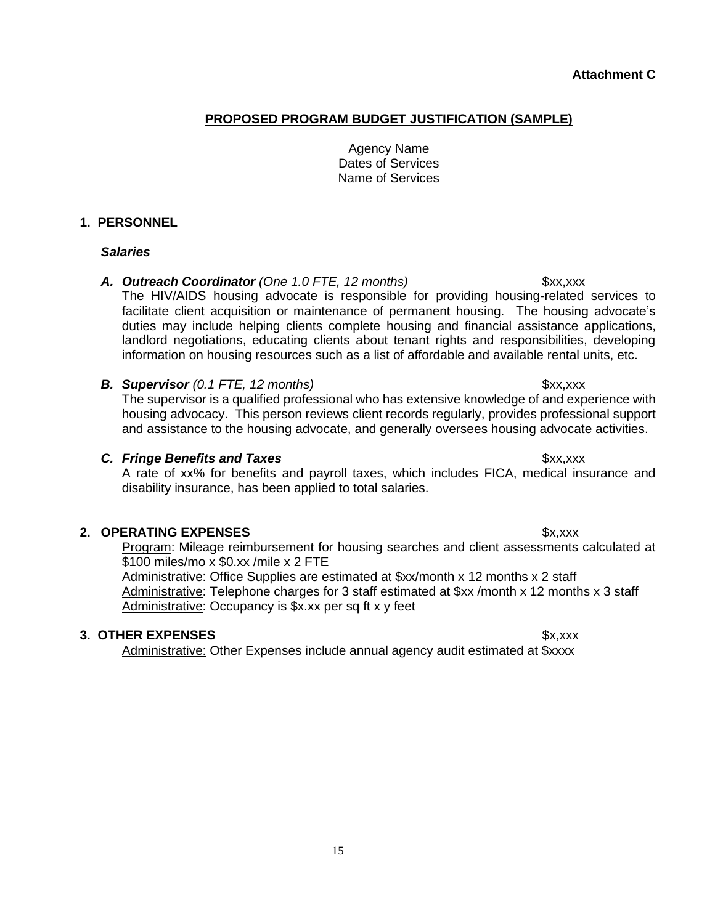**Attachment C**

## **PROPOSED PROGRAM BUDGET JUSTIFICATION (SAMPLE)**

## Agency Name Dates of Services Name of Services

### **1. PERSONNEL**

#### *Salaries*

## A. Outreach Coordinator (One 1.0 FTE, 12 months) \$xx,xxx

The HIV/AIDS housing advocate is responsible for providing housing-related services to facilitate client acquisition or maintenance of permanent housing. The housing advocate's duties may include helping clients complete housing and financial assistance applications, landlord negotiations, educating clients about tenant rights and responsibilities, developing information on housing resources such as a list of affordable and available rental units, etc.

### **B. Supervisor** (0.1 FTE, 12 months) **3xx,xxx**

The supervisor is a qualified professional who has extensive knowledge of and experience with housing advocacy. This person reviews client records regularly, provides professional support and assistance to the housing advocate, and generally oversees housing advocate activities.

#### **C.** Fringe Benefits and Taxes **\$xx,xxx** \$xx,xxx

A rate of xx% for benefits and payroll taxes, which includes FICA, medical insurance and disability insurance, has been applied to total salaries.

## **2. OPERATING EXPENSES \$x,xxx**

Program: Mileage reimbursement for housing searches and client assessments calculated at \$100 miles/mo x \$0.xx /mile x 2 FTE

Administrative: Office Supplies are estimated at \$xx/month x 12 months x 2 staff Administrative: Telephone charges for 3 staff estimated at \$xx /month x 12 months x 3 staff Administrative: Occupancy is \$x.xx per sq ft x y feet

#### **3. OTHER EXPENSES** \$x,xxx

Administrative: Other Expenses include annual agency audit estimated at \$xxxx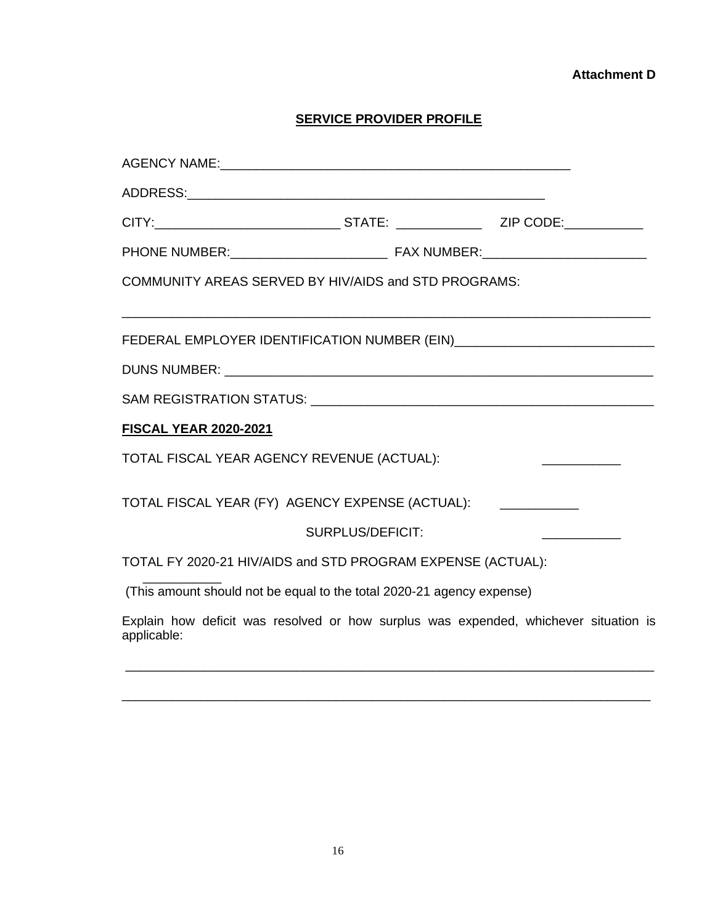## **Attachment D**

# **SERVICE PROVIDER PROFILE**

| COMMUNITY AREAS SERVED BY HIV/AIDS and STD PROGRAMS:                  |                         |                                                                                      |
|-----------------------------------------------------------------------|-------------------------|--------------------------------------------------------------------------------------|
|                                                                       |                         |                                                                                      |
|                                                                       |                         |                                                                                      |
|                                                                       |                         |                                                                                      |
| <b>FISCAL YEAR 2020-2021</b>                                          |                         |                                                                                      |
| TOTAL FISCAL YEAR AGENCY REVENUE (ACTUAL):                            |                         |                                                                                      |
| TOTAL FISCAL YEAR (FY) AGENCY EXPENSE (ACTUAL):                       |                         |                                                                                      |
|                                                                       | <b>SURPLUS/DEFICIT:</b> | and the control of the control of the                                                |
| TOTAL FY 2020-21 HIV/AIDS and STD PROGRAM EXPENSE (ACTUAL):           |                         |                                                                                      |
| (This amount should not be equal to the total 2020-21 agency expense) |                         |                                                                                      |
| applicable:                                                           |                         | Explain how deficit was resolved or how surplus was expended, whichever situation is |
|                                                                       |                         |                                                                                      |

\_\_\_\_\_\_\_\_\_\_\_\_\_\_\_\_\_\_\_\_\_\_\_\_\_\_\_\_\_\_\_\_\_\_\_\_\_\_\_\_\_\_\_\_\_\_\_\_\_\_\_\_\_\_\_\_\_\_\_\_\_\_\_\_\_\_\_\_\_\_\_\_\_\_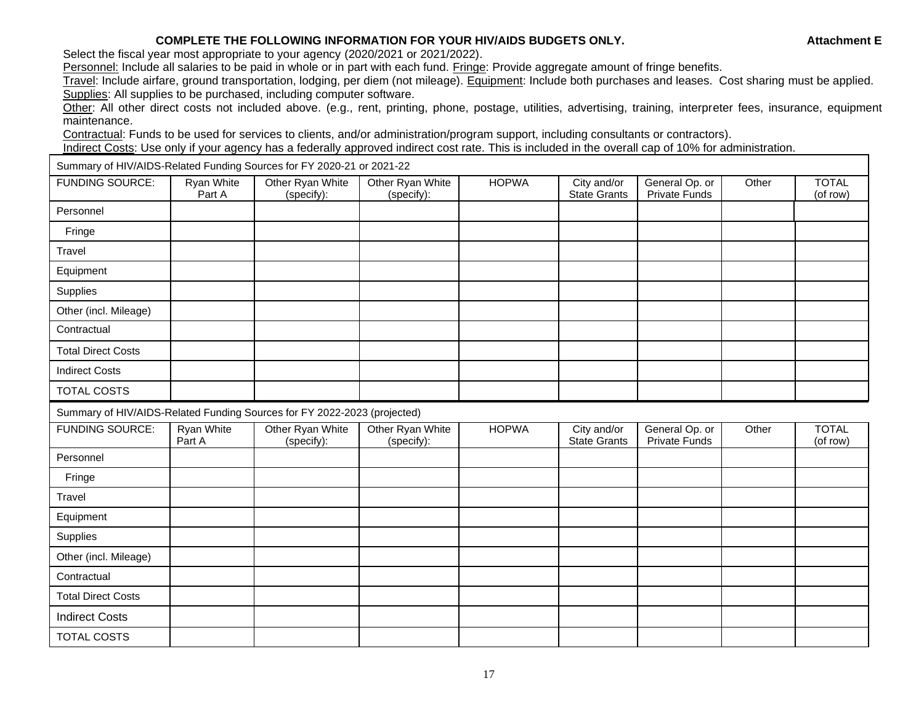#### **COMPLETE THE FOLLOWING INFORMATION FOR YOUR HIV/AIDS BUDGETS ONLY. A Attachment E**

Select the fiscal year most appropriate to your agency (2020/2021 or 2021/2022).

Personnel: Include all salaries to be paid in whole or in part with each fund. Fringe: Provide aggregate amount of fringe benefits.

Travel: Include airfare, ground transportation, lodging, per diem (not mileage). Equipment: Include both purchases and leases. Cost sharing must be applied. Supplies: All supplies to be purchased, including computer software.

Other: All other direct costs not included above. (e.g., rent, printing, phone, postage, utilities, advertising, training, interpreter fees, insurance, equipment maintenance.

Contractual: Funds to be used for services to clients, and/or administration/program support, including consultants or contractors).

Indirect Costs: Use only if your agency has a federally approved indirect cost rate. This is included in the overall cap of 10% for administration.

Summary of HIV/AIDS-Related Funding Sources for FY 2020-21 or 2021-22

| <b>FUNDING SOURCE:</b>                                                   | Ryan White<br>Part A        | Other Ryan White<br>(specify): | Other Ryan White<br>(specify): | <b>HOPWA</b> | City and/or<br><b>State Grants</b> | General Op. or<br>Private Funds | Other | <b>TOTAL</b><br>(of row) |
|--------------------------------------------------------------------------|-----------------------------|--------------------------------|--------------------------------|--------------|------------------------------------|---------------------------------|-------|--------------------------|
| Personnel                                                                |                             |                                |                                |              |                                    |                                 |       |                          |
| Fringe                                                                   |                             |                                |                                |              |                                    |                                 |       |                          |
| Travel                                                                   |                             |                                |                                |              |                                    |                                 |       |                          |
| Equipment                                                                |                             |                                |                                |              |                                    |                                 |       |                          |
| Supplies                                                                 |                             |                                |                                |              |                                    |                                 |       |                          |
| Other (incl. Mileage)                                                    |                             |                                |                                |              |                                    |                                 |       |                          |
| Contractual                                                              |                             |                                |                                |              |                                    |                                 |       |                          |
| <b>Total Direct Costs</b>                                                |                             |                                |                                |              |                                    |                                 |       |                          |
| <b>Indirect Costs</b>                                                    |                             |                                |                                |              |                                    |                                 |       |                          |
| <b>TOTAL COSTS</b>                                                       |                             |                                |                                |              |                                    |                                 |       |                          |
| Summary of HIV/AIDS-Related Funding Sources for FY 2022-2023 (projected) |                             |                                |                                |              |                                    |                                 |       |                          |
| <b>FUNDING SOURCE:</b>                                                   | <b>Ryan White</b><br>Part A | Other Ryan White<br>(specify): | Other Ryan White<br>(specify): | <b>HOPWA</b> | City and/or<br><b>State Grants</b> | General Op. or<br>Private Funds | Other | <b>TOTAL</b><br>(of row) |
| Personnel                                                                |                             |                                |                                |              |                                    |                                 |       |                          |
| Fringe                                                                   |                             |                                |                                |              |                                    |                                 |       |                          |
| Travel                                                                   |                             |                                |                                |              |                                    |                                 |       |                          |
| Equipment                                                                |                             |                                |                                |              |                                    |                                 |       |                          |
| Supplies                                                                 |                             |                                |                                |              |                                    |                                 |       |                          |
| Other (incl. Mileage)                                                    |                             |                                |                                |              |                                    |                                 |       |                          |
| Contractual                                                              |                             |                                |                                |              |                                    |                                 |       |                          |
| <b>Total Direct Costs</b>                                                |                             |                                |                                |              |                                    |                                 |       |                          |
| <b>Indirect Costs</b>                                                    |                             |                                |                                |              |                                    |                                 |       |                          |
| <b>TOTAL COSTS</b>                                                       |                             |                                |                                |              |                                    |                                 |       |                          |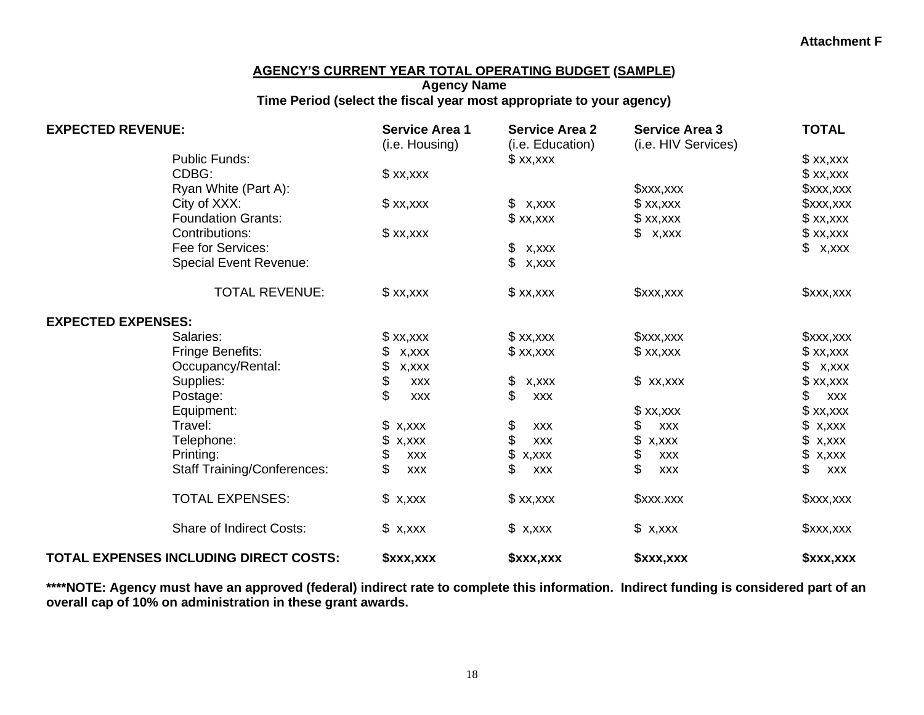### **AGENCY'S CURRENT YEAR TOTAL OPERATING BUDGET (SAMPLE)**

## **Agency Name Time Period (select the fiscal year most appropriate to your agency)**

| <b>EXPECTED REVENUE:</b>               | <b>Service Area 1</b><br>(i.e. Housing) | <b>Service Area 2</b><br>(i.e. Education) | <b>Service Area 3</b><br>(i.e. HIV Services) | <b>TOTAL</b>     |
|----------------------------------------|-----------------------------------------|-------------------------------------------|----------------------------------------------|------------------|
| <b>Public Funds:</b>                   |                                         | x, x                                      |                                              | x, x             |
| CDBG:                                  | x, x                                    |                                           |                                              | x, x, x          |
| Ryan White (Part A):                   |                                         |                                           | x, x                                         | \$xxx,xxx        |
| City of XXX:                           | x, x, x                                 | \$<br>x,xxx                               | xx,                                          | \$xxx,xxx        |
| <b>Foundation Grants:</b>              |                                         | x, x                                      | x, x                                         | x, x, x          |
| Contributions:                         | x, x                                    |                                           | x,xxx                                        | x, x             |
| Fee for Services:                      |                                         | \$<br>X, XXX                              |                                              | x,xxx            |
| <b>Special Event Revenue:</b>          |                                         | \$<br>X, XXX                              |                                              |                  |
| <b>TOTAL REVENUE:</b>                  | x, x, x                                 | x, x                                      | x, x, x                                      | xx, x            |
| <b>EXPECTED EXPENSES:</b>              |                                         |                                           |                                              |                  |
| Salaries:                              | x, x                                    | x, x, x                                   | x, x, x                                      | xx, x            |
| Fringe Benefits:                       | \$<br>X, XXX                            | x, x, x                                   | x, x                                         | x, x             |
| Occupancy/Rental:                      | \$<br>X, XXX                            |                                           |                                              | \$<br>X, XXX     |
| Supplies:                              | \$<br><b>XXX</b>                        | \$<br>x, xxx                              | x, x, x                                      | x, x             |
| Postage:                               | <b>XXX</b>                              | \$<br><b>XXX</b>                          |                                              | \$<br><b>XXX</b> |
| Equipment:                             |                                         |                                           | x, x                                         | x, x, x          |
| Travel:                                | \$<br>X, XXX                            | \$<br><b>XXX</b>                          | \$<br><b>XXX</b>                             | X, XXX           |
| Telephone:                             | X, XXX<br>£.                            | \$<br><b>XXX</b>                          | \$<br>x, xxx                                 | X, XXX           |
| Printing:                              | \$<br><b>XXX</b>                        | \$<br>x, xxx                              | \$<br><b>XXX</b>                             | \$<br>X, XXX     |
| <b>Staff Training/Conferences:</b>     | <b>XXX</b>                              | \$<br><b>XXX</b>                          | \$<br><b>XXX</b>                             | \$<br><b>XXX</b> |
| <b>TOTAL EXPENSES:</b>                 | x,xxx                                   | x, x                                      | \$xxx.xxx                                    | xx, x            |
| <b>Share of Indirect Costs:</b>        | x,xxx                                   | x,xxx                                     | \$ x,xxx                                     | xx,              |
| TOTAL EXPENSES INCLUDING DIRECT COSTS: | \$xxx,xxx                               | \$xxx,xxx                                 | \$xxx,xxx                                    | \$xxx,xxx        |

**\*\*\*\*NOTE: Agency must have an approved (federal) indirect rate to complete this information. Indirect funding is considered part of an overall cap of 10% on administration in these grant awards.**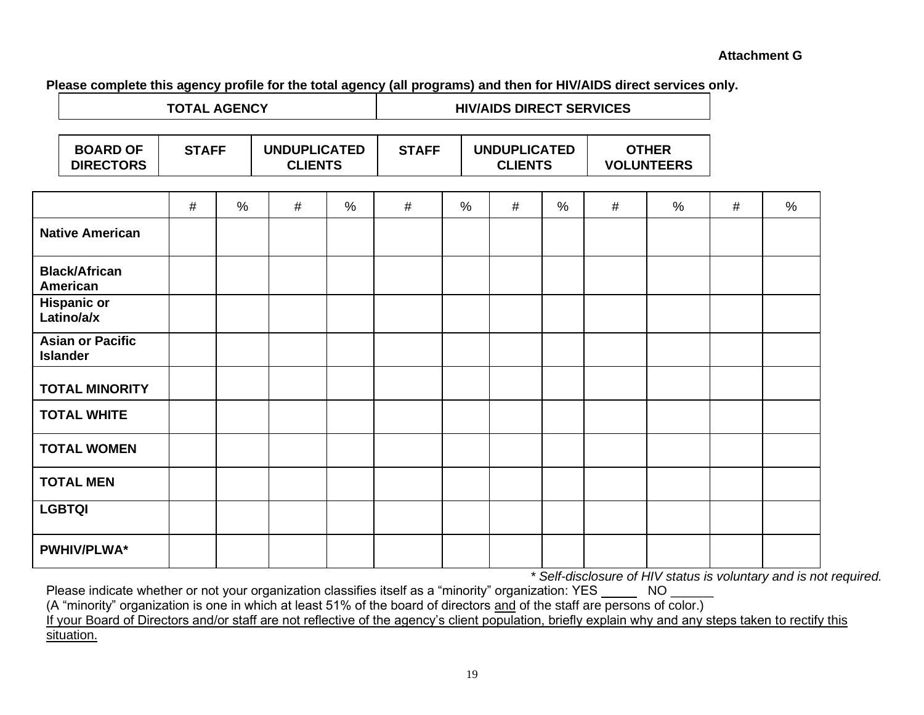**Please complete this agency profile for the total agency (all programs) and then for HIV/AIDS direct services only.**

| <b>TOTAL AGENCY</b>                        |              |      |                                       |               | <b>HIV/AIDS DIRECT SERVICES</b> |                                                       |   |                                   |   |   |   |      |
|--------------------------------------------|--------------|------|---------------------------------------|---------------|---------------------------------|-------------------------------------------------------|---|-----------------------------------|---|---|---|------|
| <b>BOARD OF</b><br><b>DIRECTORS</b>        | <b>STAFF</b> |      | <b>UNDUPLICATED</b><br><b>CLIENTS</b> |               |                                 | <b>UNDUPLICATED</b><br><b>STAFF</b><br><b>CLIENTS</b> |   | <b>OTHER</b><br><b>VOLUNTEERS</b> |   |   |   |      |
|                                            | #            | $\%$ | #                                     | $\frac{0}{0}$ | #                               | $\frac{0}{0}$                                         | # | $\frac{0}{0}$                     | # | % | # | $\%$ |
| <b>Native American</b>                     |              |      |                                       |               |                                 |                                                       |   |                                   |   |   |   |      |
| <b>Black/African</b><br>American           |              |      |                                       |               |                                 |                                                       |   |                                   |   |   |   |      |
| <b>Hispanic or</b><br>Latino/a/x           |              |      |                                       |               |                                 |                                                       |   |                                   |   |   |   |      |
| <b>Asian or Pacific</b><br><b>Islander</b> |              |      |                                       |               |                                 |                                                       |   |                                   |   |   |   |      |
| <b>TOTAL MINORITY</b>                      |              |      |                                       |               |                                 |                                                       |   |                                   |   |   |   |      |
| <b>TOTAL WHITE</b>                         |              |      |                                       |               |                                 |                                                       |   |                                   |   |   |   |      |
| <b>TOTAL WOMEN</b>                         |              |      |                                       |               |                                 |                                                       |   |                                   |   |   |   |      |
| <b>TOTAL MEN</b>                           |              |      |                                       |               |                                 |                                                       |   |                                   |   |   |   |      |
| <b>LGBTQI</b>                              |              |      |                                       |               |                                 |                                                       |   |                                   |   |   |   |      |
| <b>PWHIV/PLWA*</b>                         |              |      |                                       |               |                                 |                                                       |   |                                   |   |   |   |      |

*\* Self-disclosure of HIV status is voluntary and is not required.*

Please indicate whether or not your organization classifies itself as a "minority" organization: YES \_\_\_\_\_\_\_ NO \_\_\_\_\_\_

(A "minority" organization is one in which at least 51% of the board of directors and of the staff are persons of color.)

If your Board of Directors and/or staff are not reflective of the agency's client population, briefly explain why and any steps taken to rectify this situation.